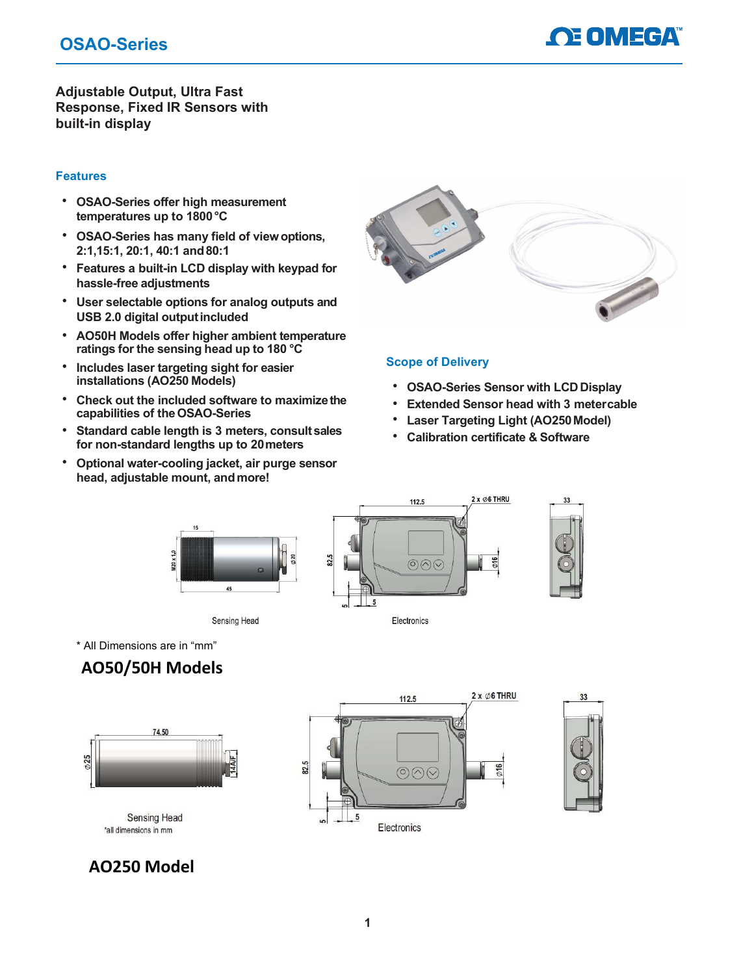## OSAO-Series



Adjustable Output, Ultra Fast Response, Fixed IR Sensors with built-in display

## Features

- OSAO-Series offer high measurement temperatures up to 1800 °C
- OSAO-Series has many field of view options, 2:1,15:1, 20:1, 40:1 and 80:1
- Features a built-in LCD display with keypad for hassle-free adjustments
- User selectable options for analog outputs and USB 2.0 digital output included
- AO50H Models offer higher ambient temperature ratings for the sensing head up to 180 °C
- Includes laser targeting sight for easier installations (AO250 Models)
- Check out the included software to maximize the capabilities of the OSAO-Series
- Standard cable length is 3 meters, consult sales for non-standard lengths up to 20 meters
- Optional water-cooling jacket, air purge sensor head, adjustable mount, and more!



### Scope of Delivery

- OSAO-Series Sensor with LCD Display
- **Extended Sensor head with 3 meter cable**
- Laser Targeting Light (AO250 Model)
- Calibration certificate & Software



\* All Dimensions are in "mm"

## AO50/50H Models



**Sensing Head** \*all dimensions in mm



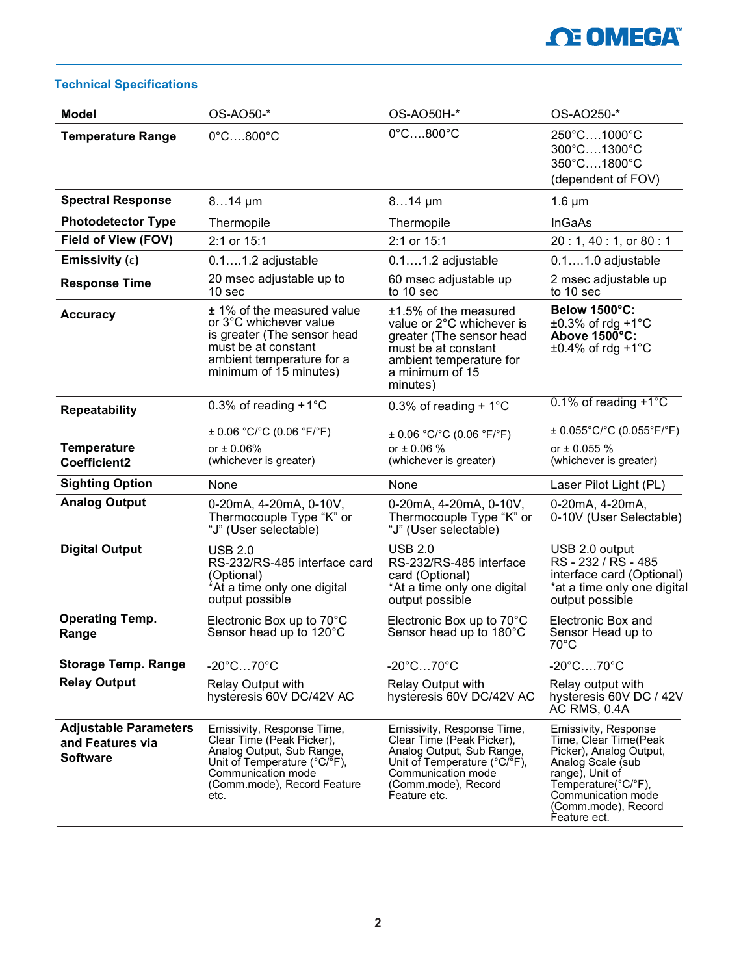# **OE OMEGA**

## Technical Specifications

| <b>Model</b>                                                        | OS-AO50-*                                                                                                                                                                         | OS-AO50H-*                                                                                                                                                                        | OS-AO250-*                                                                                                                                                                                           |
|---------------------------------------------------------------------|-----------------------------------------------------------------------------------------------------------------------------------------------------------------------------------|-----------------------------------------------------------------------------------------------------------------------------------------------------------------------------------|------------------------------------------------------------------------------------------------------------------------------------------------------------------------------------------------------|
| <b>Temperature Range</b>                                            | $0^\circ$ C800 $^\circ$ C                                                                                                                                                         | $0^\circ$ C800 $^\circ$ C                                                                                                                                                         | 250°C1000°C<br>300°C1300°C<br>350°C1800°C<br>(dependent of FOV)                                                                                                                                      |
| <b>Spectral Response</b>                                            | $814 \mu m$                                                                                                                                                                       | $814 \mu m$                                                                                                                                                                       | $1.6 \mu m$                                                                                                                                                                                          |
| <b>Photodetector Type</b>                                           | Thermopile                                                                                                                                                                        | Thermopile                                                                                                                                                                        | <b>InGaAs</b>                                                                                                                                                                                        |
| Field of View (FOV)                                                 | 2:1 or 15:1                                                                                                                                                                       | 2:1 or 15:1                                                                                                                                                                       | 20:1, 40:1, or 80:1                                                                                                                                                                                  |
| Emissivity $(\epsilon)$                                             | $0.11.2$ adjustable                                                                                                                                                               | $0.11.2$ adjustable                                                                                                                                                               | $0.11.0$ adjustable                                                                                                                                                                                  |
| <b>Response Time</b>                                                | 20 msec adjustable up to<br>10 sec                                                                                                                                                | 60 msec adjustable up<br>to 10 sec                                                                                                                                                | 2 msec adjustable up<br>to 10 sec                                                                                                                                                                    |
| <b>Accuracy</b>                                                     | ± 1% of the measured value<br>or 3°C whichever value<br>is greater (The sensor head<br>must be at constant<br>ambient temperature for a<br>minimum of 15 minutes)                 | $±1.5\%$ of the measured<br>value or 2°C whichever is<br>greater (The sensor head<br>must be at constant<br>ambient temperature for<br>a minimum of 15<br>minutes)                | Below 1500°C:<br>$\pm 0.3\%$ of rdg +1 $^{\circ}$ C<br>Above 1500°C:<br>$\pm 0.4\%$ of rdg +1 $^{\circ}$ C                                                                                           |
| <b>Repeatability</b>                                                | 0.3% of reading $+1^{\circ}$ C                                                                                                                                                    | 0.3% of reading + $1^{\circ}$ C                                                                                                                                                   | $0.1\%$ of reading +1 $^{\circ}$ C                                                                                                                                                                   |
| <b>Temperature</b><br>Coefficient2                                  | $\pm$ 0.06 °C/°C (0.06 °F/°F)<br>or $\pm 0.06\%$<br>(whichever is greater)                                                                                                        | ± 0.06 °C/°C (0.06 °F/°F)<br>or $\pm 0.06 \%$<br>(whichever is greater)                                                                                                           | $\pm$ 0.055°C/°C (0.055°F/°F)<br>or ± 0.055 %<br>(whichever is greater)                                                                                                                              |
| <b>Sighting Option</b>                                              | None                                                                                                                                                                              | None                                                                                                                                                                              | Laser Pilot Light (PL)                                                                                                                                                                               |
| <b>Analog Output</b>                                                | 0-20mA, 4-20mA, 0-10V,<br>Thermocouple Type "K" or<br>"J" (User selectable)                                                                                                       | 0-20mA, 4-20mA, 0-10V,<br>Thermocouple Type "K" or<br>"J" (User selectable)                                                                                                       | 0-20mA, 4-20mA,<br>0-10V (User Selectable)                                                                                                                                                           |
| <b>Digital Output</b>                                               | <b>USB 2.0</b><br>RS-232/RS-485 interface card<br>(Optional)<br>*At a time only one digital<br>output possible                                                                    | <b>USB 2.0</b><br>RS-232/RS-485 interface<br>card (Optional)<br>*At a time only one digital<br>output possible                                                                    | USB 2.0 output<br>RS-232/RS-485<br>interface card (Optional)<br>*at a time only one digital<br>output possible                                                                                       |
| <b>Operating Temp.</b><br>Range                                     | Electronic Box up to 70°C<br>Sensor head up to 120°C                                                                                                                              | Electronic Box up to 70°C<br>Sensor head up to 180°C                                                                                                                              | Electronic Box and<br>Sensor Head up to<br>70°C                                                                                                                                                      |
| <b>Storage Temp. Range</b>                                          | $-20^{\circ}$ C70 $^{\circ}$ C                                                                                                                                                    | $-20^{\circ}$ C70 $^{\circ}$ C                                                                                                                                                    | $-20^{\circ}$ C $70^{\circ}$ C                                                                                                                                                                       |
| <b>Relay Output</b>                                                 | Relay Output with<br>hysteresis 60V DC/42V AC                                                                                                                                     | Relay Output with<br>hysteresis 60V DC/42V AC                                                                                                                                     | Relay output with<br>hysteresis 60V DC / 42V<br><b>AC RMS, 0.4A</b>                                                                                                                                  |
| <b>Adjustable Parameters</b><br>and Features via<br><b>Software</b> | Emissivity, Response Time,<br>Clear Time (Peak Picker),<br>Analog Output, Sub Range,<br>Unit of Temperature (°C/°F),<br>Communication mode<br>(Comm.mode), Record Feature<br>etc. | Emissivity, Response Time,<br>Clear Time (Peak Picker),<br>Analog Output, Sub Range,<br>Unit of Temperature (°C/°F),<br>Communication mode<br>(Comm.mode), Record<br>Feature etc. | Emissivity, Response<br>Time, Clear Time(Peak<br>Picker), Analog Output,<br>Analog Scale (sub<br>range), Unit of<br>Temperature(°C/°F),<br>Communication mode<br>(Comm.mode), Record<br>Feature ect. |